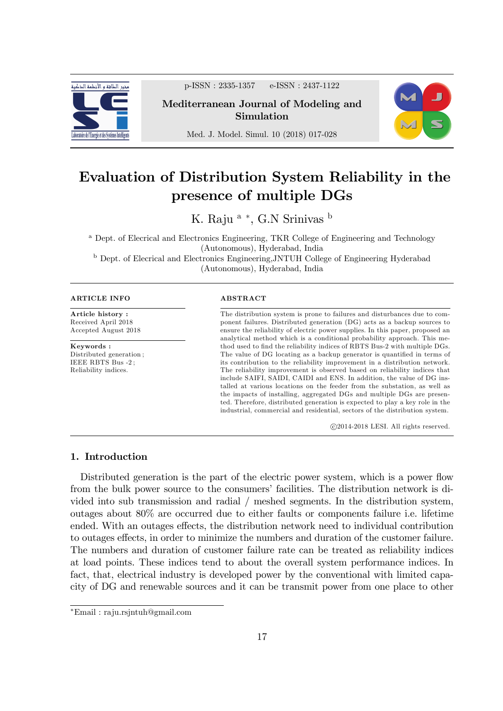

p-ISSN : 2335-1357 e-ISSN : 2437-1122

Mediterranean Journal of Modeling and Simulation



Med. J. Model. Simul. 10 (2018) 017-028

# Evaluation of Distribution System Reliability in the presence of multiple DGs

K. Raju<sup>a</sup> \*, G.N Srinivas <sup>b</sup>

<sup>a</sup> Dept. of Elecrical and Electronics Engineering, TKR College of Engineering and Technology (Autonomous), Hyderabad, India <sup>b</sup> Dept. of Elecrical and Electronics Engineering,JNTUH College of Engineering Hyderabad (Autonomous), Hyderabad, India

#### ARTICLE INFO

Article history : Received April 2018 Accepted August 2018

Keywords : Distributed generation ; IEEE RBTS Bus -2 ; Reliability indices.

#### ABSTRACT

The distribution system is prone to failures and disturbances due to component failures. Distributed generation (DG) acts as a backup sources to ensure the reliability of electric power supplies. In this paper, proposed an analytical method which is a conditional probability approach. This method used to find the reliability indices of RBTS Bus-2 with multiple DGs. The value of DG locating as a backup generator is quantified in terms of its contribution to the reliability improvement in a distribution network. The reliability improvement is observed based on reliability indices that include SAIFI, SAIDI, CAIDI and ENS. In addition, the value of DG installed at various locations on the feeder from the substation, as well as the impacts of installing, aggregated DGs and multiple DGs are presented. Therefore, distributed generation is expected to play a key role in the industrial, commercial and residential, sectors of the distribution system.

c 2014-2018 LESI. All rights reserved.

## 1. Introduction

Distributed generation is the part of the electric power system, which is a power flow from the bulk power source to the consumers' facilities. The distribution network is divided into sub transmission and radial / meshed segments. In the distribution system, outages about 80% are occurred due to either faults or components failure i.e. lifetime ended. With an outages effects, the distribution network need to individual contribution to outages effects, in order to minimize the numbers and duration of the customer failure. The numbers and duration of customer failure rate can be treated as reliability indices at load points. These indices tend to about the overall system performance indices. In fact, that, electrical industry is developed power by the conventional with limited capacity of DG and renewable sources and it can be transmit power from one place to other

Email : raju.rsjntuh@gmail.com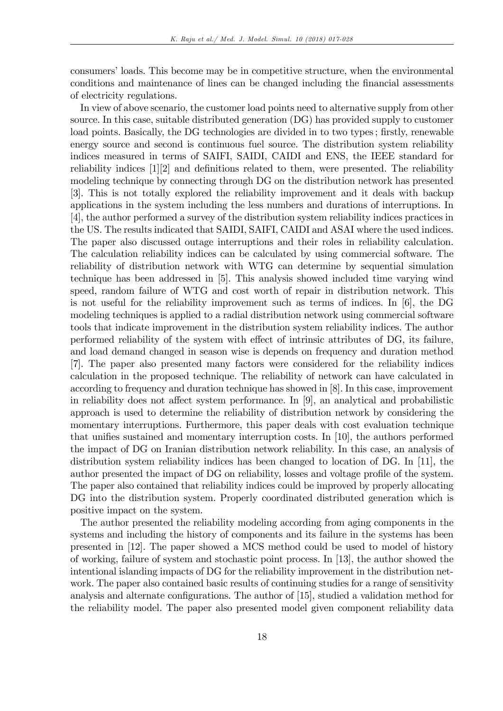consumersíloads. This become may be in competitive structure, when the environmental conditions and maintenance of lines can be changed including the financial assessments of electricity regulations.

In view of above scenario, the customer load points need to alternative supply from other source. In this case, suitable distributed generation (DG) has provided supply to customer load points. Basically, the DG technologies are divided in to two types; firstly, renewable energy source and second is continuous fuel source. The distribution system reliability indices measured in terms of SAIFI, SAIDI, CAIDI and ENS, the IEEE standard for reliability indices  $[1][2]$  and definitions related to them, were presented. The reliability modeling technique by connecting through DG on the distribution network has presented [3]. This is not totally explored the reliability improvement and it deals with backup applications in the system including the less numbers and durations of interruptions. In [4], the author performed a survey of the distribution system reliability indices practices in the US. The results indicated that SAIDI, SAIFI, CAIDI and ASAI where the used indices. The paper also discussed outage interruptions and their roles in reliability calculation. The calculation reliability indices can be calculated by using commercial software. The reliability of distribution network with WTG can determine by sequential simulation technique has been addressed in [5]. This analysis showed included time varying wind speed, random failure of WTG and cost worth of repair in distribution network. This is not useful for the reliability improvement such as terms of indices. In [6], the DG modeling techniques is applied to a radial distribution network using commercial software tools that indicate improvement in the distribution system reliability indices. The author performed reliability of the system with effect of intrinsic attributes of DG, its failure, and load demand changed in season wise is depends on frequency and duration method [7]. The paper also presented many factors were considered for the reliability indices calculation in the proposed technique. The reliability of network can have calculated in according to frequency and duration technique has showed in [8]. In this case, improvement in reliability does not affect system performance. In  $[9]$ , an analytical and probabilistic approach is used to determine the reliability of distribution network by considering the momentary interruptions. Furthermore, this paper deals with cost evaluation technique that unifies sustained and momentary interruption costs. In  $[10]$ , the authors performed the impact of DG on Iranian distribution network reliability. In this case, an analysis of distribution system reliability indices has been changed to location of DG. In [11], the author presented the impact of DG on reliability, losses and voltage profile of the system. The paper also contained that reliability indices could be improved by properly allocating DG into the distribution system. Properly coordinated distributed generation which is positive impact on the system.

The author presented the reliability modeling according from aging components in the systems and including the history of components and its failure in the systems has been presented in [12]. The paper showed a MCS method could be used to model of history of working, failure of system and stochastic point process. In [13], the author showed the intentional islanding impacts of DG for the reliability improvement in the distribution network. The paper also contained basic results of continuing studies for a range of sensitivity analysis and alternate configurations. The author of [15], studied a validation method for the reliability model. The paper also presented model given component reliability data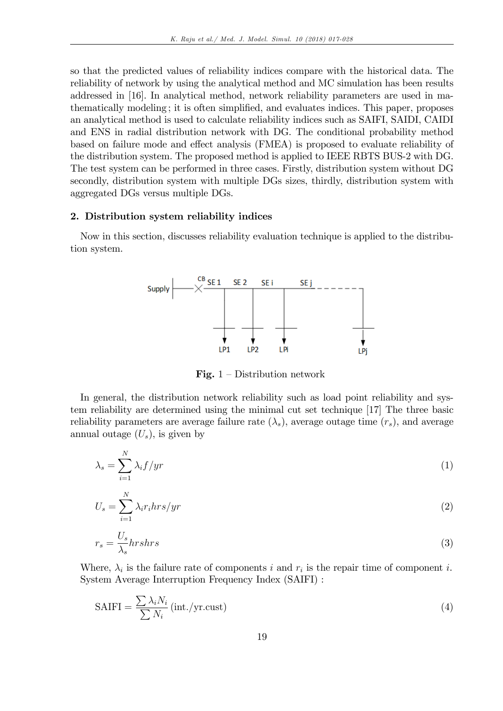so that the predicted values of reliability indices compare with the historical data. The reliability of network by using the analytical method and MC simulation has been results addressed in [16]. In analytical method, network reliability parameters are used in mathematically modeling; it is often simplified, and evaluates indices. This paper, proposes an analytical method is used to calculate reliability indices such as SAIFI, SAIDI, CAIDI and ENS in radial distribution network with DG. The conditional probability method based on failure mode and effect analysis (FMEA) is proposed to evaluate reliability of the distribution system. The proposed method is applied to IEEE RBTS BUS-2 with DG. The test system can be performed in three cases. Firstly, distribution system without DG secondly, distribution system with multiple DGs sizes, thirdly, distribution system with aggregated DGs versus multiple DGs.

# 2. Distribution system reliability indices

Now in this section, discusses reliability evaluation technique is applied to the distribution system.



Fig.  $1$  – Distribution network

In general, the distribution network reliability such as load point reliability and system reliability are determined using the minimal cut set technique [17] The three basic reliability parameters are average failure rate  $(\lambda_s)$ , average outage time  $(r_s)$ , and average annual outage  $(U_s)$ , is given by

$$
\lambda_s = \sum_{i=1}^{N} \lambda_i f / yr \tag{1}
$$

$$
U_s = \sum_{i=1}^{N} \lambda_i r_i h r s / yr
$$
\n(2)

$$
r_s = \frac{U_s}{\lambda_s} hrshrs \tag{3}
$$

Where,  $\lambda_i$  is the failure rate of components i and  $r_i$  is the repair time of component i. System Average Interruption Frequency Index (SAIFI) :

$$
SAIFI = \frac{\sum \lambda_i N_i}{\sum N_i} \left( \text{int.}/\text{yr.cust} \right) \tag{4}
$$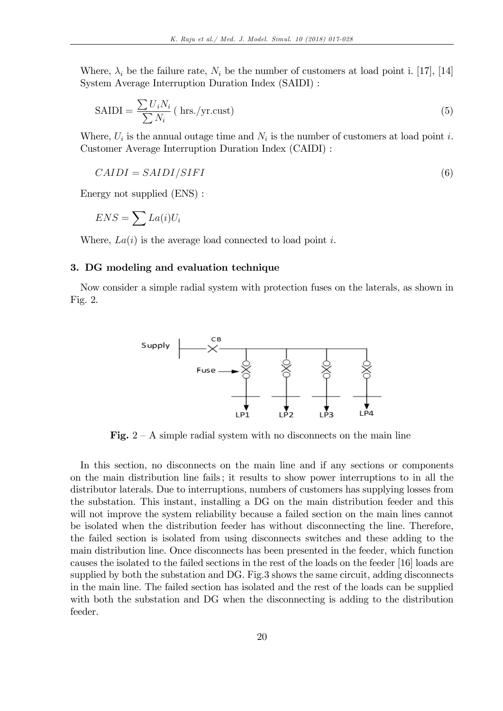Where,  $\lambda_i$  be the failure rate,  $N_i$  be the number of customers at load point i. [17], [14] System Average Interruption Duration Index (SAIDI) :

$$
SAIDI = \frac{\sum U_i N_i}{\sum N_i} \text{ ( hrs./yr.cust)} \tag{5}
$$

Where,  $U_i$  is the annual outage time and  $N_i$  is the number of customers at load point i. Customer Average Interruption Duration Index (CAIDI) :

$$
CAIDI = SAIDI/SIFT
$$
\n<sup>(6)</sup>

Energy not supplied (ENS) :

$$
ENS = \sum La(i)U_i
$$

Where,  $La(i)$  is the average load connected to load point i.

### 3. DG modeling and evaluation technique

Now consider a simple radial system with protection fuses on the laterals, as shown in Fig. 2.



Fig.  $2 - A$  simple radial system with no disconnects on the main line

In this section, no disconnects on the main line and if any sections or components on the main distribution line fails ; it results to show power interruptions to in all the distributor laterals. Due to interruptions, numbers of customers has supplying losses from the substation. This instant, installing a DG on the main distribution feeder and this will not improve the system reliability because a failed section on the main lines cannot be isolated when the distribution feeder has without disconnecting the line. Therefore, the failed section is isolated from using disconnects switches and these adding to the main distribution line. Once disconnects has been presented in the feeder, which function causes the isolated to the failed sections in the rest of the loads on the feeder [16] loads are supplied by both the substation and DG. Fig.3 shows the same circuit, adding disconnects in the main line. The failed section has isolated and the rest of the loads can be supplied with both the substation and DG when the disconnecting is adding to the distribution feeder.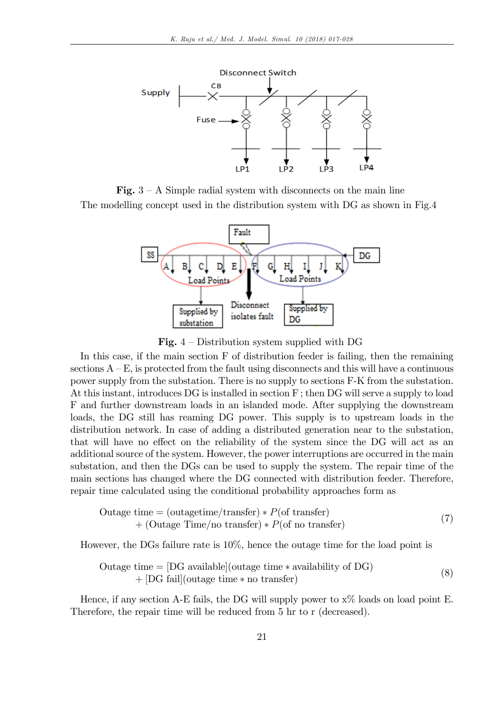

Fig.  $3 - A$  Simple radial system with disconnects on the main line The modelling concept used in the distribution system with DG as shown in Fig.4



Fig.  $4$  – Distribution system supplied with DG

In this case, if the main section F of distribution feeder is failing, then the remaining sections  $A - E$ , is protected from the fault using disconnects and this will have a continuous power supply from the substation. There is no supply to sections F-K from the substation. At this instant, introduces DG is installed in section F ; then DG will serve a supply to load F and further downstream loads in an islanded mode. After supplying the downstream loads, the DG still has reaming DG power. This supply is to upstream loads in the distribution network. In case of adding a distributed generation near to the substation, that will have no effect on the reliability of the system since the DG will act as an additional source of the system. However, the power interruptions are occurred in the main substation, and then the DGs can be used to supply the system. The repair time of the main sections has changed where the DG connected with distribution feeder. Therefore, repair time calculated using the conditional probability approaches form as

Outage time = (outagentime/transfer) \* 
$$
P
$$
(of transfer)  
+ (Outage Time/no transfer) \*  $P$ (of no transfer) (7)

However, the DGs failure rate is 10%, hence the outage time for the load point is

Outage time = [DG available](outage time \* availability of DG)  
+ [DG fail](outage time \* no transfer) 
$$
(8)
$$

Hence, if any section A-E fails, the DG will supply power to  $x\%$  loads on load point E. Therefore, the repair time will be reduced from 5 hr to r (decreased).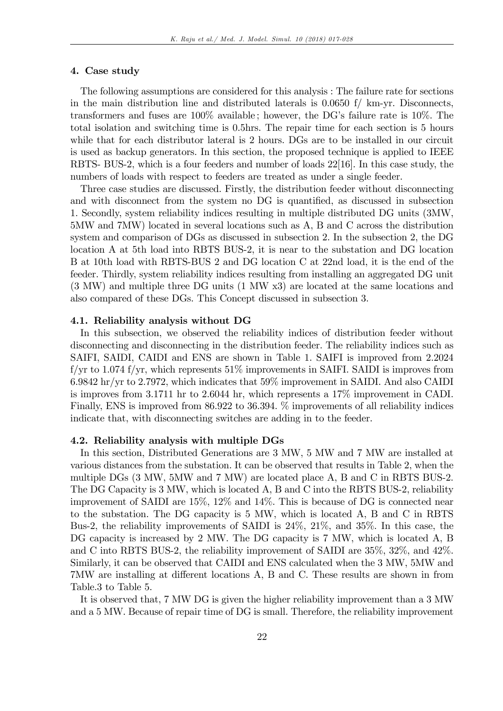#### 4. Case study

The following assumptions are considered for this analysis : The failure rate for sections in the main distribution line and distributed laterals is 0.0650 f/ km-yr. Disconnects, transformers and fuses are  $100\%$  available; however, the DG's failure rate is 10%. The total isolation and switching time is 0.5hrs. The repair time for each section is 5 hours while that for each distributor lateral is 2 hours. DGs are to be installed in our circuit is used as backup generators. In this section, the proposed technique is applied to IEEE RBTS- BUS-2, which is a four feeders and number of loads 22[16]. In this case study, the numbers of loads with respect to feeders are treated as under a single feeder.

Three case studies are discussed. Firstly, the distribution feeder without disconnecting and with disconnect from the system no DG is quantified, as discussed in subsection 1. Secondly, system reliability indices resulting in multiple distributed DG units (3MW, 5MW and 7MW) located in several locations such as A, B and C across the distribution system and comparison of DGs as discussed in subsection 2. In the subsection 2, the DG location A at 5th load into RBTS BUS-2, it is near to the substation and DG location B at 10th load with RBTS-BUS 2 and DG location C at 22nd load, it is the end of the feeder. Thirdly, system reliability indices resulting from installing an aggregated DG unit (3 MW) and multiple three DG units (1 MW x3) are located at the same locations and also compared of these DGs. This Concept discussed in subsection 3.

#### 4.1. Reliability analysis without DG

In this subsection, we observed the reliability indices of distribution feeder without disconnecting and disconnecting in the distribution feeder. The reliability indices such as SAIFI, SAIDI, CAIDI and ENS are shown in Table 1. SAIFI is improved from 2.2024 f/yr to 1.074 f/yr, which represents  $51\%$  improvements in SAIFI. SAIDI is improves from 6.9842 hr/yr to 2.7972, which indicates that 59% improvement in SAIDI. And also CAIDI is improves from 3.1711 hr to 2.6044 hr, which represents a 17% improvement in CADI. Finally, ENS is improved from 86.922 to 36.394. % improvements of all reliability indices indicate that, with disconnecting switches are adding in to the feeder.

#### 4.2. Reliability analysis with multiple DGs

In this section, Distributed Generations are 3 MW, 5 MW and 7 MW are installed at various distances from the substation. It can be observed that results in Table 2, when the multiple DGs (3 MW, 5MW and 7 MW) are located place A, B and C in RBTS BUS-2. The DG Capacity is 3 MW, which is located A, B and C into the RBTS BUS-2, reliability improvement of SAIDI are 15%, 12% and 14%. This is because of DG is connected near to the substation. The DG capacity is 5 MW, which is located A, B and C in RBTS Bus-2, the reliability improvements of SAIDI is 24%, 21%, and 35%. In this case, the DG capacity is increased by 2 MW. The DG capacity is 7 MW, which is located A, B and C into RBTS BUS-2, the reliability improvement of SAIDI are 35%, 32%, and 42%. Similarly, it can be observed that CAIDI and ENS calculated when the 3 MW, 5MW and 7MW are installing at different locations A, B and C. These results are shown in from Table.3 to Table 5.

It is observed that, 7 MW DG is given the higher reliability improvement than a 3 MW and a 5 MW. Because of repair time of DG is small. Therefore, the reliability improvement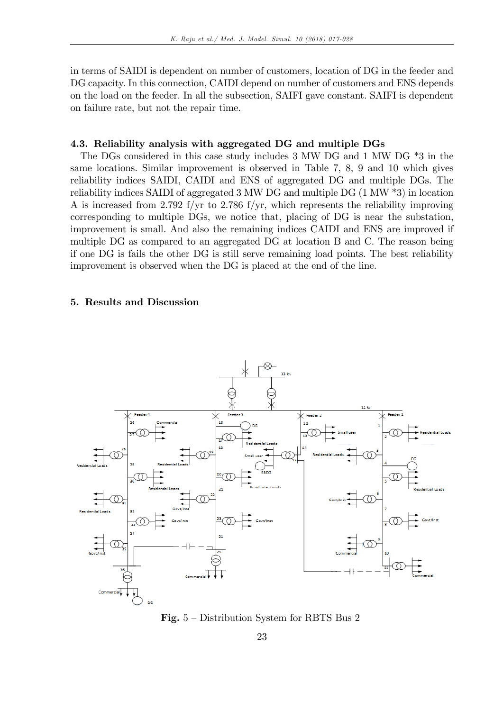in terms of SAIDI is dependent on number of customers, location of DG in the feeder and DG capacity. In this connection, CAIDI depend on number of customers and ENS depends on the load on the feeder. In all the subsection, SAIFI gave constant. SAIFI is dependent on failure rate, but not the repair time.

## 4.3. Reliability analysis with aggregated DG and multiple DGs

The DGs considered in this case study includes 3 MW DG and 1 MW DG \*3 in the same locations. Similar improvement is observed in Table 7, 8, 9 and 10 which gives reliability indices SAIDI, CAIDI and ENS of aggregated DG and multiple DGs. The reliability indices SAIDI of aggregated 3 MW DG and multiple DG (1 MW \*3) in location A is increased from 2.792 f/yr to 2.786 f/yr, which represents the reliability improving corresponding to multiple DGs, we notice that, placing of DG is near the substation, improvement is small. And also the remaining indices CAIDI and ENS are improved if multiple DG as compared to an aggregated DG at location B and C. The reason being if one DG is fails the other DG is still serve remaining load points. The best reliability improvement is observed when the DG is placed at the end of the line.

# 5. Results and Discussion



Fig.  $5$  – Distribution System for RBTS Bus 2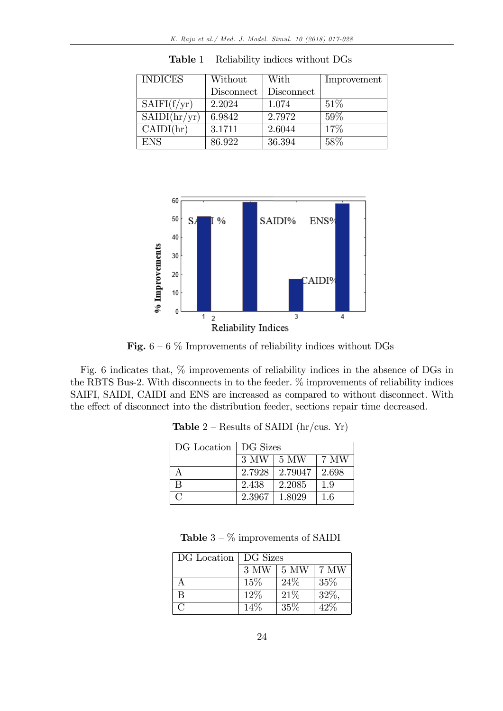| <b>INDICES</b> | Without    | With       | Improvement |
|----------------|------------|------------|-------------|
|                | Disconnect | Disconnect |             |
| SAIFI(f/yr)    | 2.2024     | 1.074      | 51%         |
| SAIDI(hr/yr)   | 6.9842     | 2.7972     | 59%         |
| CAIDI(hr)      | 3.1711     | 2.6044     | 17%         |
| <b>ENS</b>     | 86.922     | 36.394     | 58%         |

**Table**  $1$  – Reliability indices without DGs



Fig.  $6 - 6$  % Improvements of reliability indices without DGs

Fig. 6 indicates that, % improvements of reliability indices in the absence of DGs in the RBTS Bus-2. With disconnects in to the feeder. % improvements of reliability indices SAIFI, SAIDI, CAIDI and ENS are increased as compared to without disconnect. With the effect of disconnect into the distribution feeder, sections repair time decreased.

| DG Location   DG Sizes |        |                    |       |
|------------------------|--------|--------------------|-------|
|                        |        | $3$ MW $\mid$ 5 MW | 7 MW  |
|                        |        | $2.7928$   2.79047 | 2.698 |
| $\mathbf{B}$           | 2.438  | 2.2085             | 1.9   |
| $\cap$                 | 2.3967 | 1.8029             | 1.6   |

**Table**  $2$  – Results of SAIDI (hr/cus. Yr)

| <b>Table</b> $3-\%$ improvements of SAIDI |  |
|-------------------------------------------|--|
|-------------------------------------------|--|

| DG Location   DG Sizes |        |      |          |
|------------------------|--------|------|----------|
|                        | 3 MW   | 5 MW | 7 MW     |
|                        | 15%    | 24\% | 35\%     |
| <sub>R</sub>           | $12\%$ | 21%  | $32\%$ , |
| $\Gamma$               | 14\%   | 35\% | 42\%     |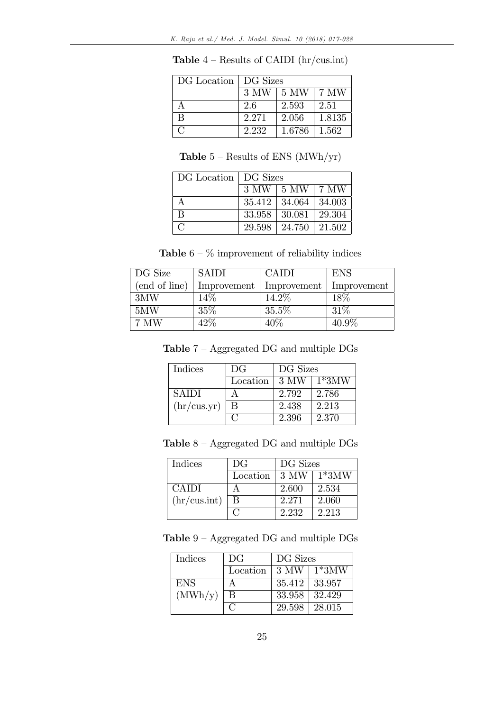| DG Location   DG Sizes |       |              |        |
|------------------------|-------|--------------|--------|
|                        | 3 MW  | $\perp$ 5 MW | 7 MW   |
|                        | 2.6   | 2.593        | 2.51   |
| В                      | 2.271 | 2.056        | 1.8135 |
| $\cap$                 | 2.232 | 1.6786       | 1.562  |

**Table**  $4$  – Results of CAIDI (hr/cus.int)

| <b>Table</b> $5$ – Results of ENS (MWh/yr) |
|--------------------------------------------|
|--------------------------------------------|

| DG Location   DG Sizes |        |                                  |          |
|------------------------|--------|----------------------------------|----------|
|                        |        | $3$ MW $ 5$ MW $ 7$ MW           |          |
| А                      |        | $35.412 \mid 34.064 \mid 34.003$ |          |
| В                      |        | $33.958 \pm 30.081$              | 29.304   |
| $\cap$                 | 29.598 | $\mid 24.750 \mid$               | $21.502$ |

**Table**  $6 - \%$  improvement of reliability indices

| DG Size       | <b>SAIDI</b> | <b>CAIDI</b> | <b>ENS</b>  |
|---------------|--------------|--------------|-------------|
| (end of line) | Improvement  | Improvement  | Improvement |
| 3MW           | $14\%$       | 14.2\%       | 18\%        |
| 5MW           | 35%          | 35.5%        | 31\%        |
| 7 MW          | 42\%         | 40%          | $40.9\%$    |

Table  $7 -$  Aggregated DG and multiple DGs

| Indices      | DG       | DG Sizes |         |
|--------------|----------|----------|---------|
|              | Location | 3 MW     | $1*3MW$ |
| <b>SAIDI</b> |          | 2.792    | 2.786   |
| (hr/cus.yr)  | В        | 2.438    | 2.213   |
|              |          | 2.396    | 2.370   |

Table  $8$  – Aggregated DG and multiple  $\rm DGs$ 

| Indices              | DG       | DG Sizes |         |
|----------------------|----------|----------|---------|
|                      | Location | 3 MW     | $1*3MW$ |
| <b>CAIDI</b>         |          | 2.600    | 2.534   |
| $\ln/\text{cus.int}$ | В        | 2.271    | 2.060   |
|                      |          | 2.232    | 2.213   |

 ${\bf Table}$   $9$  –  ${\bf Aggregated}$   ${\bf DG}$  and multiple  ${\bf DGs}$ 

| <b>Indices</b> | DG       | DG Sizes |                     |
|----------------|----------|----------|---------------------|
|                | Location |          | $3$ MW $\mid$ 1*3MW |
| <b>ENS</b>     | A        | 35.412   | 33.957              |
| (MWh/y)        | B        | 33.958   | 32.429              |
|                |          | 29.598   | 28.015              |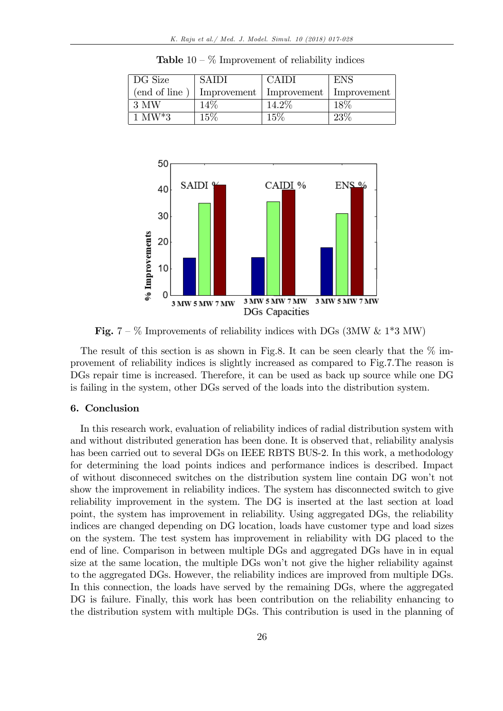| DG Size       | <b>SAIDI</b> | <b>CAIDI</b>                            | <b>ENS</b> |
|---------------|--------------|-----------------------------------------|------------|
| (end of line) |              | Improvement   Improvement   Improvement |            |
| 3 MW          | 14%          | 14.2%                                   | 18%        |
| $1$ MW*3      | 15%          | 15%                                     | 23\%       |

**Table**  $10 - \%$  Improvement of reliability indices



Fig. 7 –  $\%$  Improvements of reliability indices with DGs (3MW & 1\*3 MW)

The result of this section is as shown in Fig.8. It can be seen clearly that the  $\%$  improvement of reliability indices is slightly increased as compared to Fig.7.The reason is DGs repair time is increased. Therefore, it can be used as back up source while one DG is failing in the system, other DGs served of the loads into the distribution system.

## 6. Conclusion

In this research work, evaluation of reliability indices of radial distribution system with and without distributed generation has been done. It is observed that, reliability analysis has been carried out to several DGs on IEEE RBTS BUS-2. In this work, a methodology for determining the load points indices and performance indices is described. Impact of without disconneced switches on the distribution system line contain DG wonít not show the improvement in reliability indices. The system has disconnected switch to give reliability improvement in the system. The DG is inserted at the last section at load point, the system has improvement in reliability. Using aggregated DGs, the reliability indices are changed depending on DG location, loads have customer type and load sizes on the system. The test system has improvement in reliability with DG placed to the end of line. Comparison in between multiple DGs and aggregated DGs have in in equal size at the same location, the multiple DGs won't not give the higher reliability against to the aggregated DGs. However, the reliability indices are improved from multiple DGs. In this connection, the loads have served by the remaining DGs, where the aggregated DG is failure. Finally, this work has been contribution on the reliability enhancing to the distribution system with multiple DGs. This contribution is used in the planning of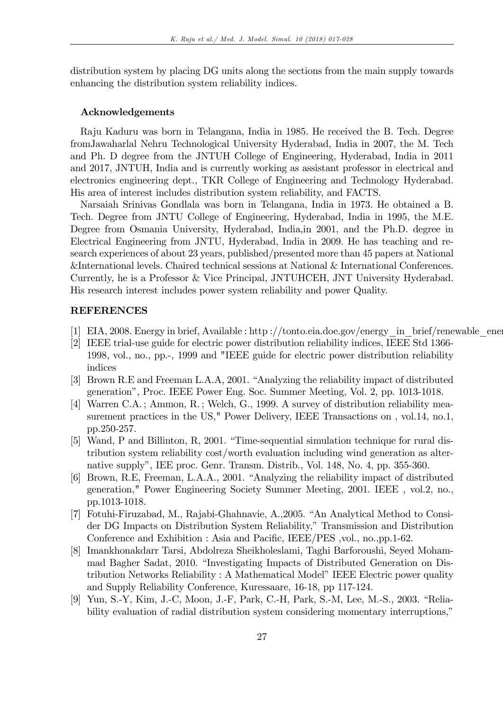distribution system by placing DG units along the sections from the main supply towards enhancing the distribution system reliability indices.

#### Acknowledgements

Raju Kaduru was born in Telangana, India in 1985. He received the B. Tech. Degree fromJawaharlal Nehru Technological University Hyderabad, India in 2007, the M. Tech and Ph. D degree from the JNTUH College of Engineering, Hyderabad, India in 2011 and 2017, JNTUH, India and is currently working as assistant professor in electrical and electronics engineering dept., TKR College of Engineering and Technology Hyderabad. His area of interest includes distribution system reliability, and FACTS.

Narsaiah Srinivas Gondlala was born in Telangana, India in 1973. He obtained a B. Tech. Degree from JNTU College of Engineering, Hyderabad, India in 1995, the M.E. Degree from Osmania University, Hyderabad, India,in 2001, and the Ph.D. degree in Electrical Engineering from JNTU, Hyderabad, India in 2009. He has teaching and research experiences of about 23 years, published/presented more than 45 papers at National &International levels. Chaired technical sessions at National & International Conferences. Currently, he is a Professor & Vice Principal, JNTUHCEH, JNT University Hyderabad. His research interest includes power system reliability and power Quality.

# **REFERENCES**

- [1] EIA, 2008. Energy in brief, Available : http ://tonto.eia.doe.gov/energy\_in\_brief/renewable\_energy.cfm
- [2] IEEE trial-use guide for electric power distribution reliability indices, IEEE Std 1366- 1998, vol., no., pp.-, 1999 and "IEEE guide for electric power distribution reliability indices
- [3] Brown R.E and Freeman L.A.A, 2001. "Analyzing the reliability impact of distributed generationî, Proc. IEEE Power Eng. Soc. Summer Meeting, Vol. 2, pp. 1013-1018.
- [4] Warren C.A. ; Ammon, R. ; Welch, G., 1999. A survey of distribution reliability measurement practices in the US," Power Delivery, IEEE Transactions on, vol.14, no.1, pp.250-257.
- $[5]$  Wand, P and Billinton, R, 2001. "Time-sequential simulation technique for rural distribution system reliability cost/worth evaluation including wind generation as alternative supply", IEE proc. Genr. Transm. Distrib., Vol. 148, No. 4, pp. 355-360.
- [6] Brown, R.E, Freeman, L.A.A., 2001. "Analyzing the reliability impact of distributed generation," Power Engineering Society Summer Meeting, 2001. IEEE , vol.2, no., pp.1013-1018.
- [7] Fotuhi-Firuzabad, M., Rajabi-Ghahnavie, A., 2005. "An Analytical Method to Consider DG Impacts on Distribution System Reliability," Transmission and Distribution Conference and Exhibition : Asia and Pacific, IEEE/PES, vol., no., pp. 1-62.
- [8] Imankhonakdarr Tarsi, Abdolreza Sheikholeslami, Taghi Barforoushi, Seyed Mohammad Bagher Sadat, 2010. "Investigating Impacts of Distributed Generation on Distribution Networks Reliability : A Mathematical Model" IEEE Electric power quality and Supply Reliability Conference, Kuressaare, 16-18, pp 117-124.
- [9] Yun, S.-Y, Kim, J.-C, Moon, J.-F, Park, C.-H, Park, S.-M, Lee, M.-S., 2003. "Reliability evaluation of radial distribution system considering momentary interruptions,"